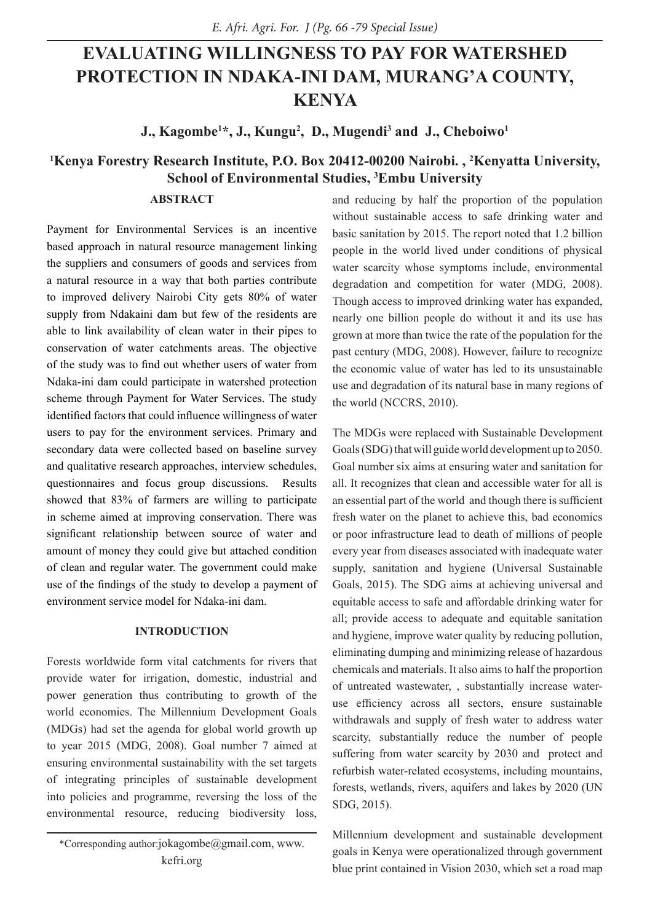# **EVALUATING WILLINGNESS TO PAY FOR WATERSHED PROTECTION IN NDAKA-INI DAM, MURANG'A COUNTY, KENYA**

**J., Kagombe1 \*, J., Kungu2 , D., Mugendi3 and J., Cheboiwo1**

# **1 Kenya Forestry Research Institute, P.O. Box 20412-00200 Nairobi. , 2 Kenyatta University, School of Environmental Studies, 3 Embu University**

### **ABSTRACT**

Payment for Environmental Services is an incentive based approach in natural resource management linking the suppliers and consumers of goods and services from a natural resource in a way that both parties contribute to improved delivery Nairobi City gets 80% of water supply from Ndakaini dam but few of the residents are able to link availability of clean water in their pipes to conservation of water catchments areas. The objective of the study was to find out whether users of water from Ndaka-ini dam could participate in watershed protection scheme through Payment for Water Services. The study identified factors that could influence willingness of water users to pay for the environment services. Primary and secondary data were collected based on baseline survey and qualitative research approaches, interview schedules, questionnaires and focus group discussions. Results showed that 83% of farmers are willing to participate in scheme aimed at improving conservation. There was significant relationship between source of water and amount of money they could give but attached condition of clean and regular water. The government could make use of the findings of the study to develop a payment of environment service model for Ndaka-ini dam.

### **INTRODUCTION**

Forests worldwide form vital catchments for rivers that provide water for irrigation, domestic, industrial and power generation thus contributing to growth of the world economies. The Millennium Development Goals (MDGs) had set the agenda for global world growth up to year 2015 (MDG, 2008). Goal number 7 aimed at ensuring environmental sustainability with the set targets of integrating principles of sustainable development into policies and programme, reversing the loss of the environmental resource, reducing biodiversity loss,

and reducing by half the proportion of the population without sustainable access to safe drinking water and basic sanitation by 2015. The report noted that 1.2 billion people in the world lived under conditions of physical water scarcity whose symptoms include, environmental degradation and competition for water (MDG, 2008). Though access to improved drinking water has expanded, nearly one billion people do without it and its use has grown at more than twice the rate of the population for the past century (MDG, 2008). However, failure to recognize the economic value of water has led to its unsustainable use and degradation of its natural base in many regions of the world (NCCRS, 2010).

The MDGs were replaced with Sustainable Development Goals (SDG) that will guide world development up to 2050. Goal number six aims at ensuring water and sanitation for all. It recognizes that clean and accessible water for all is an essential part of the world and though there is sufficient fresh water on the planet to achieve this, bad economics or poor infrastructure lead to death of millions of people every year from diseases associated with inadequate water supply, sanitation and hygiene (Universal Sustainable Goals, 2015). The SDG aims at achieving universal and equitable access to safe and affordable drinking water for all; provide access to adequate and equitable sanitation and hygiene, improve water quality by reducing pollution, eliminating dumping and minimizing release of hazardous chemicals and materials. It also aims to half the proportion of untreated wastewater, , substantially increase wateruse efficiency across all sectors, ensure sustainable withdrawals and supply of fresh water to address water scarcity, substantially reduce the number of people suffering from water scarcity by 2030 and protect and refurbish water-related ecosystems, including mountains, forests, wetlands, rivers, aquifers and lakes by 2020 (UN SDG, 2015).

Millennium development and sustainable development goals in Kenya were operationalized through government blue print contained in Vision 2030, which set a road map

<sup>\*</sup>Corresponding author:jokagombe@gmail.com, www. kefri.org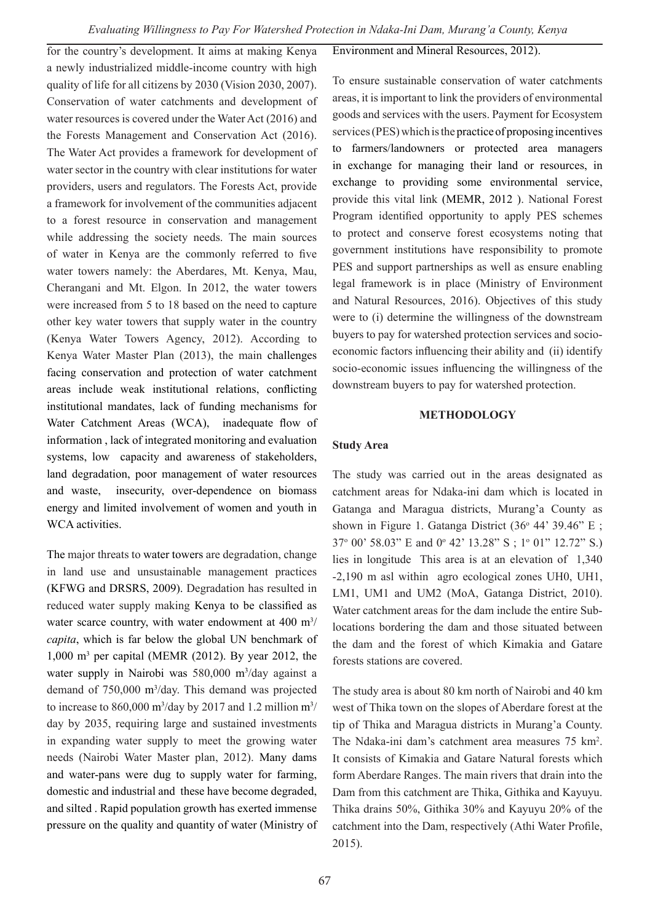for the country's development. It aims at making Kenya a newly industrialized middle-income country with high quality of life for all citizens by 2030 (Vision 2030, 2007). Conservation of water catchments and development of water resources is covered under the Water Act (2016) and the Forests Management and Conservation Act (2016). The Water Act provides a framework for development of water sector in the country with clear institutions for water providers, users and regulators. The Forests Act, provide a framework for involvement of the communities adjacent to a forest resource in conservation and management while addressing the society needs. The main sources of water in Kenya are the commonly referred to five water towers namely: the Aberdares, Mt. Kenya, Mau, Cherangani and Mt. Elgon. In 2012, the water towers were increased from 5 to 18 based on the need to capture other key water towers that supply water in the country (Kenya Water Towers Agency, 2012). According to Kenya Water Master Plan (2013), the main challenges facing conservation and protection of water catchment areas include weak institutional relations, conflicting institutional mandates, lack of funding mechanisms for Water Catchment Areas (WCA), inadequate flow of information , lack of integrated monitoring and evaluation systems, low capacity and awareness of stakeholders, land degradation, poor management of water resources and waste, insecurity, over-dependence on biomass energy and limited involvement of women and youth in WCA activities.

The major threats to water towers are degradation, change in land use and unsustainable management practices (KFWG and DRSRS, 2009). Degradation has resulted in reduced water supply making Kenya to be classified as water scarce country, with water endowment at  $400 \text{ m}^3$ / *capita*, which is far below the global UN benchmark of 1,000 m3 per capital (MEMR (2012). By year 2012, the water supply in Nairobi was 580,000 m3 /day against a demand of 750,000 m3 /day. This demand was projected to increase to 860,000 m<sup>3</sup>/day by 2017 and 1.2 million m<sup>3</sup>/ day by 2035, requiring large and sustained investments in expanding water supply to meet the growing water needs (Nairobi Water Master plan, 2012). Many dams and water-pans were dug to supply water for farming, domestic and industrial and these have become degraded, and silted . Rapid population growth has exerted immense pressure on the quality and quantity of water (Ministry of Environment and Mineral Resources, 2012).

To ensure sustainable conservation of water catchments areas, it is important to link the providers of environmental goods and services with the users. Payment for Ecosystem services (PES) which is the practice of proposing incentives to farmers/landowners or protected area managers in exchange for managing their land or resources, in exchange to providing some environmental service, provide this vital link (MEMR, 2012 ). National Forest Program identified opportunity to apply PES schemes to protect and conserve forest ecosystems noting that government institutions have responsibility to promote PES and support partnerships as well as ensure enabling legal framework is in place (Ministry of Environment and Natural Resources, 2016). Objectives of this study were to (i) determine the willingness of the downstream buyers to pay for watershed protection services and socioeconomic factors influencing their ability and (ii) identify socio-economic issues influencing the willingness of the downstream buyers to pay for watershed protection.

#### **METHODOLOGY**

#### **Study Area**

The study was carried out in the areas designated as catchment areas for Ndaka-ini dam which is located in Gatanga and Maragua districts, Murang'a County as shown in Figure 1. Gatanga District  $(36^{\circ} 44^{\circ} 39.46^{\circ} E)$ ; 37o 00' 58.03" E and 0o 42' 13.28" S ; 1o 01" 12.72" S.) lies in longitude This area is at an elevation of 1,340 -2,190 m asl within agro ecological zones UH0, UH1, LM1, UM1 and UM2 (MoA, Gatanga District, 2010). Water catchment areas for the dam include the entire Sublocations bordering the dam and those situated between the dam and the forest of which Kimakia and Gatare forests stations are covered.

The study area is about 80 km north of Nairobi and 40 km west of Thika town on the slopes of Aberdare forest at the tip of Thika and Maragua districts in Murang'a County. The Ndaka-ini dam's catchment area measures 75 km2 . It consists of Kimakia and Gatare Natural forests which form Aberdare Ranges. The main rivers that drain into the Dam from this catchment are Thika, Githika and Kayuyu. Thika drains 50%, Githika 30% and Kayuyu 20% of the catchment into the Dam, respectively (Athi Water Profile, 2015).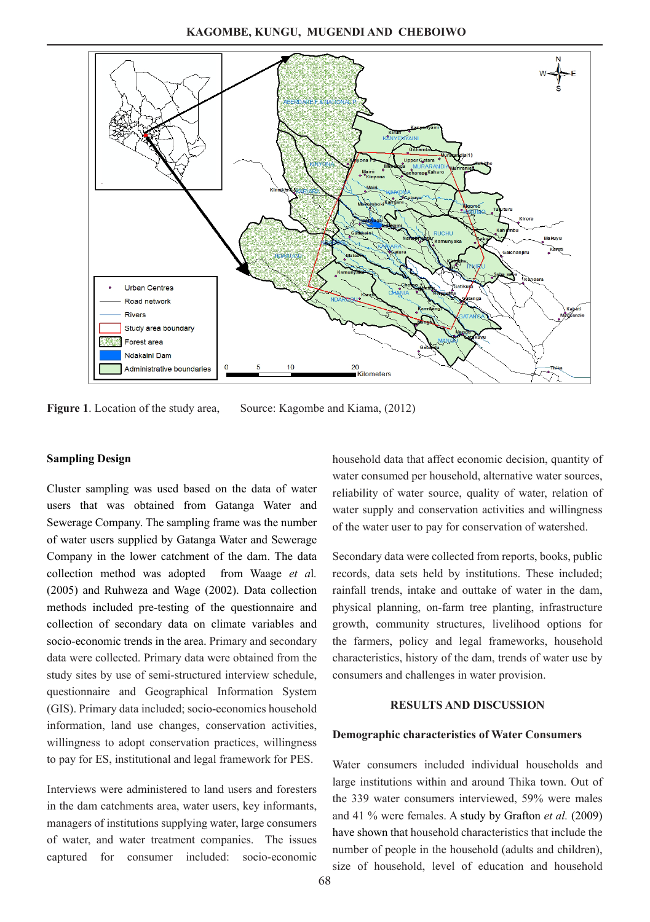

**Figure 1**. Location of the study area, Source: Kagombe and Kiama, (2012)

#### **Sampling Design**

Cluster sampling was used based on the data of water users that was obtained from Gatanga Water and Sewerage Company. The sampling frame was the number of water users supplied by Gatanga Water and Sewerage Company in the lower catchment of the dam. The data collection method was adopted from Waage *et a*l*.* (2005) and Ruhweza and Wage (2002). Data collection methods included pre-testing of the questionnaire and collection of secondary data on climate variables and socio-economic trends in the area. Primary and secondary data were collected. Primary data were obtained from the study sites by use of semi-structured interview schedule, questionnaire and Geographical Information System (GIS). Primary data included; socio-economics household information, land use changes, conservation activities, willingness to adopt conservation practices, willingness to pay for ES, institutional and legal framework for PES.

Interviews were administered to land users and foresters in the dam catchments area, water users, key informants, managers of institutions supplying water, large consumers of water, and water treatment companies. The issues captured for consumer included: socio-economic

household data that affect economic decision, quantity of water consumed per household, alternative water sources, reliability of water source, quality of water, relation of water supply and conservation activities and willingness of the water user to pay for conservation of watershed.

Secondary data were collected from reports, books, public records, data sets held by institutions. These included; rainfall trends, intake and outtake of water in the dam, physical planning, on-farm tree planting, infrastructure growth, community structures, livelihood options for the farmers, policy and legal frameworks, household characteristics, history of the dam, trends of water use by consumers and challenges in water provision.

### **RESULTS AND DISCUSSION**

#### **Demographic characteristics of Water Consumers**

Water consumers included individual households and large institutions within and around Thika town. Out of the 339 water consumers interviewed, 59% were males and 41 % were females. A study by Grafton *et al.* (2009) have shown that household characteristics that include the number of people in the household (adults and children), size of household, level of education and household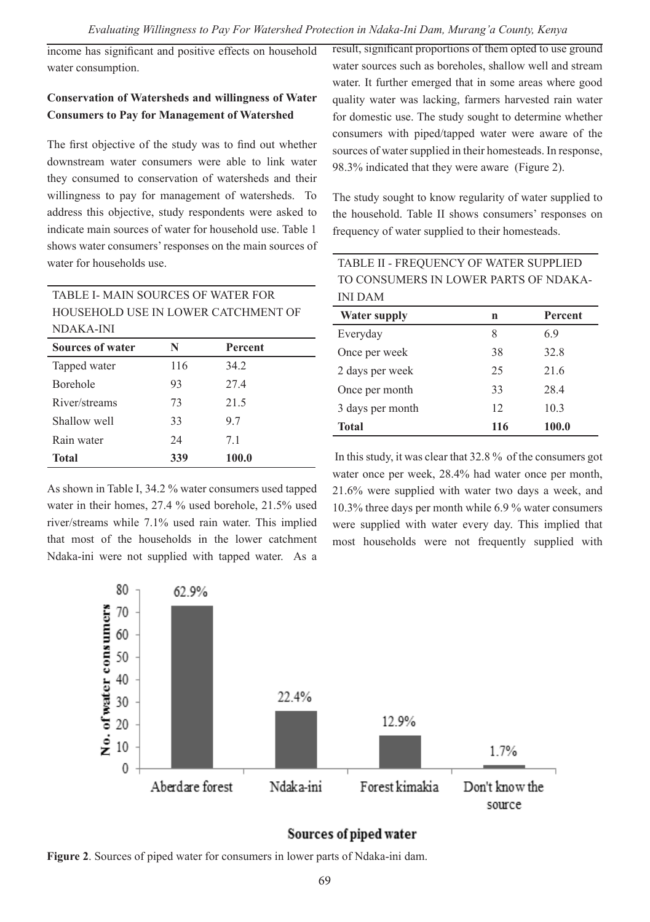income has significant and positive effects on household water consumption.

# **Conservation of Watersheds and willingness of Water Consumers to Pay for Management of Watershed**

The first objective of the study was to find out whether downstream water consumers were able to link water they consumed to conservation of watersheds and their willingness to pay for management of watersheds. To address this objective, study respondents were asked to indicate main sources of water for household use. Table 1 shows water consumers' responses on the main sources of water for households use.

result, significant proportions of them opted to use ground water sources such as boreholes, shallow well and stream water. It further emerged that in some areas where good quality water was lacking, farmers harvested rain water for domestic use. The study sought to determine whether consumers with piped/tapped water were aware of the sources of water supplied in their homesteads. In response, 98.3% indicated that they were aware (Figure 2).

The study sought to know regularity of water supplied to the household. Table II shows consumers' responses on frequency of water supplied to their homesteads.

| TABLE I- MAIN SOURCES OF WATER FOR      |     |      |  |  |  |
|-----------------------------------------|-----|------|--|--|--|
| HOUSEHOLD USE IN LOWER CATCHMENT OF     |     |      |  |  |  |
| NDAKA-INI                               |     |      |  |  |  |
| <b>Sources of water</b><br>N<br>Percent |     |      |  |  |  |
| Tapped water                            | 116 | 34.2 |  |  |  |
| <b>Borehole</b>                         | 93  | 27.4 |  |  |  |
| River/streams                           | 73  | 21.5 |  |  |  |
| Shallow well                            | 33  | 9.7  |  |  |  |
| Rain water                              | 24  | 7.1  |  |  |  |

As shown in Table I, 34.2 % water consumers used tapped water in their homes, 27.4 % used borehole, 21.5% used river/streams while 7.1% used rain water. This implied that most of the households in the lower catchment Ndaka-ini were not supplied with tapped water. As a

**Total 339 100.0**

| TABLE II - FREQUENCY OF WATER SUPPLIED |
|----------------------------------------|
| TO CONSUMERS IN LOWER PARTS OF NDAKA-  |
| INI DAM                                |

| <b>Water supply</b> | n   | Percent |
|---------------------|-----|---------|
| Everyday            | 8   | 6.9     |
| Once per week       | 38  | 32.8    |
| 2 days per week     | 25  | 21.6    |
| Once per month      | 33  | 28.4    |
| 3 days per month    | 12  | 10.3    |
| <b>Total</b>        | 116 | 100.0   |

 In this study, it was clear that 32.8 % of the consumers got water once per week, 28.4% had water once per month, 21.6% were supplied with water two days a week, and 10.3% three days per month while 6.9 % water consumers were supplied with water every day. This implied that most households were not frequently supplied with



# Sources of piped water

**Figure 2**. Sources of piped water for consumers in lower parts of Ndaka-ini dam.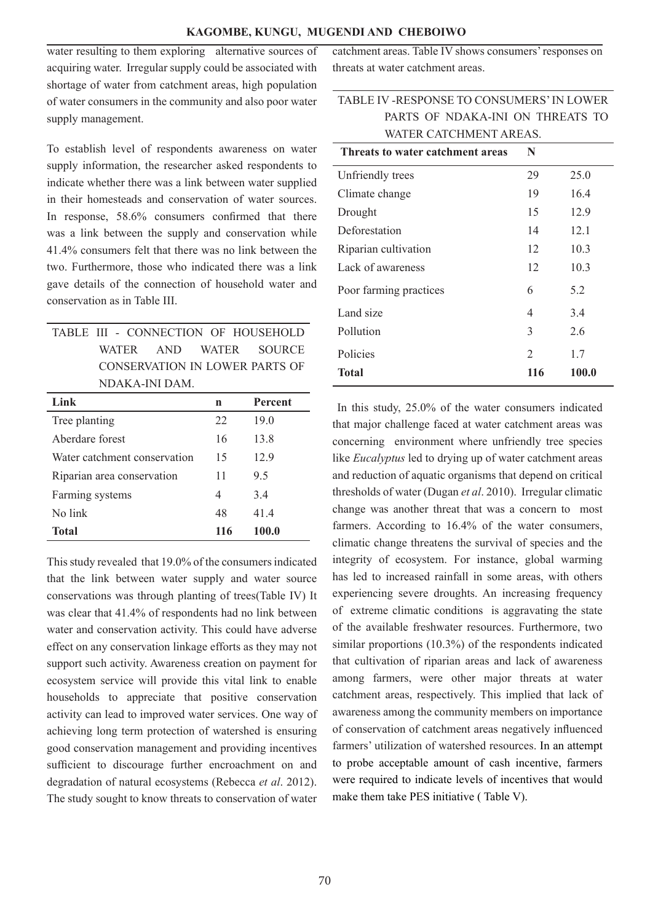### **KAGOMBE, KUNGU, MUGENDI AND CHEBOIWO**

water resulting to them exploring alternative sources of acquiring water. Irregular supply could be associated with shortage of water from catchment areas, high population of water consumers in the community and also poor water supply management.

To establish level of respondents awareness on water supply information, the researcher asked respondents to indicate whether there was a link between water supplied in their homesteads and conservation of water sources. In response, 58.6% consumers confirmed that there was a link between the supply and conservation while 41.4% consumers felt that there was no link between the two. Furthermore, those who indicated there was a link gave details of the connection of household water and conservation as in Table III.

|  |                |  | TABLE III - CONNECTION OF HOUSEHOLD |
|--|----------------|--|-------------------------------------|
|  |                |  | WATER AND WATER SOURCE              |
|  |                |  | CONSERVATION IN LOWER PARTS OF      |
|  | NDAK A-INI DAM |  |                                     |

| Link                         | n   | Percent |
|------------------------------|-----|---------|
| Tree planting                | 22  | 19.0    |
| Aberdare forest              | 16  | 13.8    |
| Water catchment conservation | 15  | 12.9    |
| Riparian area conservation   | 11  | 9.5     |
| Farming systems              | 4   | 3.4     |
| No link                      | 48  | 41.4    |
| Total                        | 116 | 100.0   |

This study revealed that 19.0% of the consumers indicated that the link between water supply and water source conservations was through planting of trees(Table IV) It was clear that 41.4% of respondents had no link between water and conservation activity. This could have adverse effect on any conservation linkage efforts as they may not support such activity. Awareness creation on payment for ecosystem service will provide this vital link to enable households to appreciate that positive conservation activity can lead to improved water services. One way of achieving long term protection of watershed is ensuring good conservation management and providing incentives sufficient to discourage further encroachment on and degradation of natural ecosystems (Rebecca *et al*. 2012). The study sought to know threats to conservation of water catchment areas. Table IV shows consumers' responses on threats at water catchment areas.

# TABLE IV -RESPONSE TO CONSUMERS' IN LOWER PARTS OF NDAKA-INI ON THREATS TO WATER CATCHMENT AREAS

| Threats to water catchment areas | N              |       |
|----------------------------------|----------------|-------|
| Unfriendly trees                 | 29             | 25.0  |
| Climate change                   | 19             | 16.4  |
| Drought                          | 15             | 12.9  |
| Deforestation                    | 14             | 12.1  |
| Riparian cultivation             | 12             | 10.3  |
| Lack of awareness                | 12             | 10.3  |
| Poor farming practices           | 6              | 5.2   |
| Land size                        | 4              | 3.4   |
| Pollution                        | 3              | 2.6   |
| Policies                         | $\overline{2}$ | 1.7   |
| Total                            | 116            | 100.0 |

 In this study, 25.0% of the water consumers indicated that major challenge faced at water catchment areas was concerning environment where unfriendly tree species like *Eucalyptus* led to drying up of water catchment areas and reduction of aquatic organisms that depend on critical thresholds of water (Dugan *et al*. 2010). Irregular climatic change was another threat that was a concern to most farmers. According to 16.4% of the water consumers, climatic change threatens the survival of species and the integrity of ecosystem. For instance, global warming has led to increased rainfall in some areas, with others experiencing severe droughts. An increasing frequency of extreme climatic conditions is aggravating the state of the available freshwater resources. Furthermore, two similar proportions (10.3%) of the respondents indicated that cultivation of riparian areas and lack of awareness among farmers, were other major threats at water catchment areas, respectively. This implied that lack of awareness among the community members on importance of conservation of catchment areas negatively influenced farmers' utilization of watershed resources. In an attempt to probe acceptable amount of cash incentive, farmers were required to indicate levels of incentives that would make them take PES initiative ( Table V).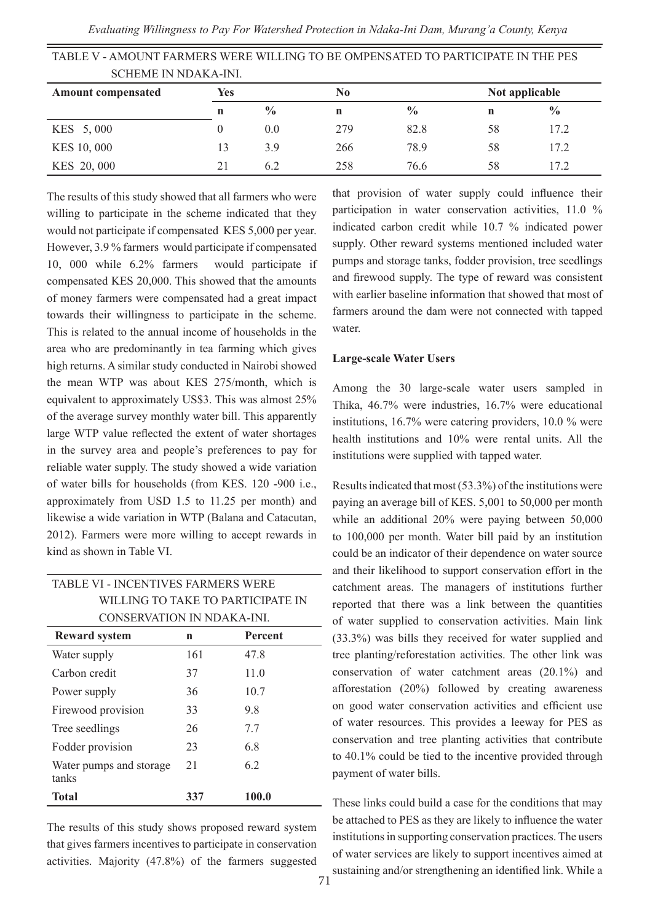| TABLE V - AMOUNT FARMERS WERE WILLING TO BE OMPENSATED TO PARTICIPATE IN THE PES |     |               |     |               |    |                |
|----------------------------------------------------------------------------------|-----|---------------|-----|---------------|----|----------------|
| <b>SCHEME IN NDAKA-INI.</b>                                                      |     |               |     |               |    |                |
| <b>Amount compensated</b>                                                        | Yes |               | No  |               |    | Not applicable |
|                                                                                  | n   | $\frac{0}{0}$ | n   | $\frac{0}{0}$ | n  | $\frac{0}{0}$  |
| KES 5,000                                                                        |     | 0.0           | 279 | 82.8          | 58 | 17.2           |
| KES 10, 000                                                                      | 13  | 3.9           | 266 | 78.9          | 58 | 17.2           |
| KES 20,000                                                                       | 21  | 62            | 258 | 76.6          | 58 | 172            |

The results of this study showed that all farmers who were willing to participate in the scheme indicated that they would not participate if compensated KES 5,000 per year. However, 3.9 % farmers would participate if compensated 10, 000 while 6.2% farmers would participate if compensated KES 20,000. This showed that the amounts of money farmers were compensated had a great impact towards their willingness to participate in the scheme. This is related to the annual income of households in the area who are predominantly in tea farming which gives high returns. A similar study conducted in Nairobi showed the mean WTP was about KES 275/month, which is equivalent to approximately US\$3. This was almost 25% of the average survey monthly water bill. This apparently large WTP value reflected the extent of water shortages in the survey area and people's preferences to pay for reliable water supply. The study showed a wide variation of water bills for households (from KES. 120 -900 i.e., approximately from USD 1.5 to 11.25 per month) and likewise a wide variation in WTP (Balana and Catacutan, 2012). Farmers were more willing to accept rewards in kind as shown in Table VI.

| TABLE VI - INCENTIVES FARMERS WERE |
|------------------------------------|
| WILLING TO TAKE TO PARTICIPATE IN  |
| CONSERVATION IN NDAKA-INI.         |

| <b>Reward system</b>             | n   | Percent |
|----------------------------------|-----|---------|
| Water supply                     | 161 | 47.8    |
| Carbon credit                    | 37  | 11.0    |
| Power supply                     | 36  | 10.7    |
| Firewood provision               | 33  | 9.8     |
| Tree seedlings                   | 26  | 7.7     |
| Fodder provision                 | 23  | 6.8     |
| Water pumps and storage<br>tanks | 2.1 | 6.2     |
| <b>Total</b>                     | 337 | 100.0   |

The results of this study shows proposed reward system that gives farmers incentives to participate in conservation activities. Majority (47.8%) of the farmers suggested

that provision of water supply could influence their participation in water conservation activities, 11.0 % indicated carbon credit while 10.7 % indicated power supply. Other reward systems mentioned included water pumps and storage tanks, fodder provision, tree seedlings and firewood supply. The type of reward was consistent with earlier baseline information that showed that most of farmers around the dam were not connected with tapped water.

#### **Large-scale Water Users**

Among the 30 large-scale water users sampled in Thika, 46.7% were industries, 16.7% were educational institutions, 16.7% were catering providers, 10.0 % were health institutions and 10% were rental units. All the institutions were supplied with tapped water.

Results indicated that most (53.3%) of the institutions were paying an average bill of KES. 5,001 to 50,000 per month while an additional 20% were paying between 50,000 to 100,000 per month. Water bill paid by an institution could be an indicator of their dependence on water source and their likelihood to support conservation effort in the catchment areas. The managers of institutions further reported that there was a link between the quantities of water supplied to conservation activities. Main link (33.3%) was bills they received for water supplied and tree planting/reforestation activities. The other link was conservation of water catchment areas (20.1%) and afforestation (20%) followed by creating awareness on good water conservation activities and efficient use of water resources. This provides a leeway for PES as conservation and tree planting activities that contribute to 40.1% could be tied to the incentive provided through payment of water bills.

These links could build a case for the conditions that may be attached to PES as they are likely to influence the water institutions in supporting conservation practices. The users of water services are likely to support incentives aimed at sustaining and/or strengthening an identified link. While a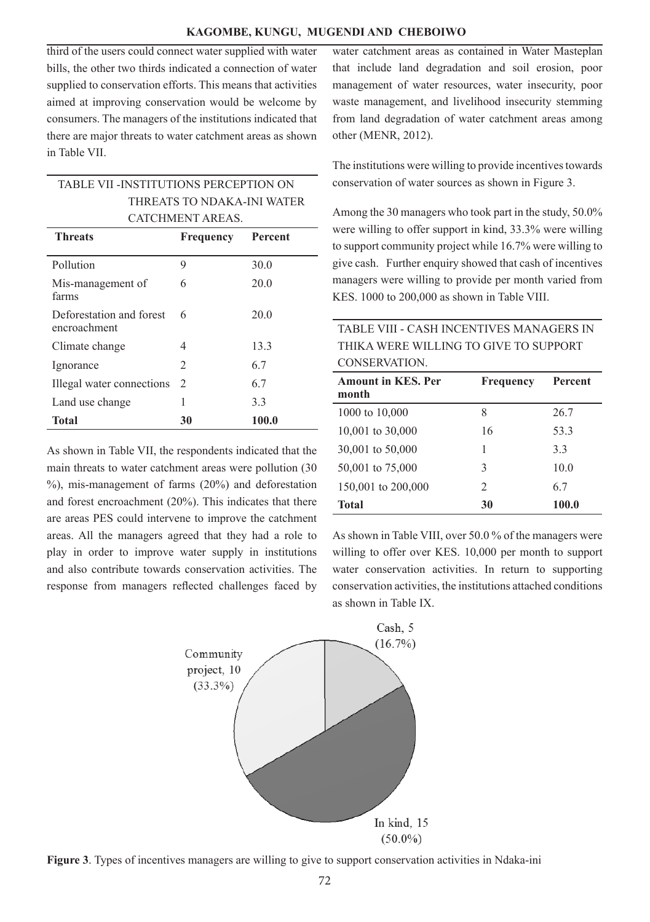### **KAGOMBE, KUNGU, MUGENDI AND CHEBOIWO**

third of the users could connect water supplied with water bills, the other two thirds indicated a connection of water supplied to conservation efforts. This means that activities aimed at improving conservation would be welcome by consumers. The managers of the institutions indicated that there are major threats to water catchment areas as shown in Table VII.

| <b>Threats</b> | <b>Frequency</b> Percent              |  |
|----------------|---------------------------------------|--|
|                | CATCHMENT AREAS.                      |  |
|                | THREATS TO NDAKA-INI WATER            |  |
|                | TABLE VII -INSTITUTIONS PERCEPTION ON |  |

| Pollution                                | 9                             | 30.0  |
|------------------------------------------|-------------------------------|-------|
| Mis-management of<br>farms               | 6                             | 20.0  |
| Deforestation and forest<br>encroachment | 6                             | 20.0  |
| Climate change                           | 4                             | 13.3  |
| Ignorance                                | $\mathfrak{D}_{\mathfrak{p}}$ | 6.7   |
| Illegal water connections                | 2                             | 6.7   |
| Land use change                          |                               | 3.3   |
| <b>Total</b>                             | 30                            | 100.0 |

As shown in Table VII, the respondents indicated that the main threats to water catchment areas were pollution (30 %), mis-management of farms (20%) and deforestation and forest encroachment (20%). This indicates that there are areas PES could intervene to improve the catchment areas. All the managers agreed that they had a role to play in order to improve water supply in institutions and also contribute towards conservation activities. The response from managers reflected challenges faced by

water catchment areas as contained in Water Masteplan that include land degradation and soil erosion, poor management of water resources, water insecurity, poor waste management, and livelihood insecurity stemming from land degradation of water catchment areas among other (MENR, 2012).

The institutions were willing to provide incentives towards conservation of water sources as shown in Figure 3.

Among the 30 managers who took part in the study, 50.0% were willing to offer support in kind, 33.3% were willing to support community project while 16.7% were willing to give cash. Further enquiry showed that cash of incentives managers were willing to provide per month varied from KES. 1000 to 200,000 as shown in Table VIII.

# TABLE VIII - CASH INCENTIVES MANAGERS IN THIKA WERE WILLING TO GIVE TO SUPPORT CONSERVATION.

| <b>Amount in KES. Per</b><br>month | Frequency      | <b>Percent</b> |
|------------------------------------|----------------|----------------|
| 1000 to 10,000                     | 8              | 26.7           |
| 10,001 to 30,000                   | 16             | 53.3           |
| 30,001 to 50,000                   |                | 3.3            |
| 50,001 to 75,000                   | 3              | 10.0           |
| 150,001 to 200,000                 | $\mathfrak{D}$ | 6.7            |
| <b>Total</b>                       | 30             | 100.0          |

As shown in Table VIII, over 50.0 % of the managers were willing to offer over KES. 10,000 per month to support water conservation activities. In return to supporting conservation activities, the institutions attached conditions as shown in Table IX.



**Figure 3**. Types of incentives managers are willing to give to support conservation activities in Ndaka-ini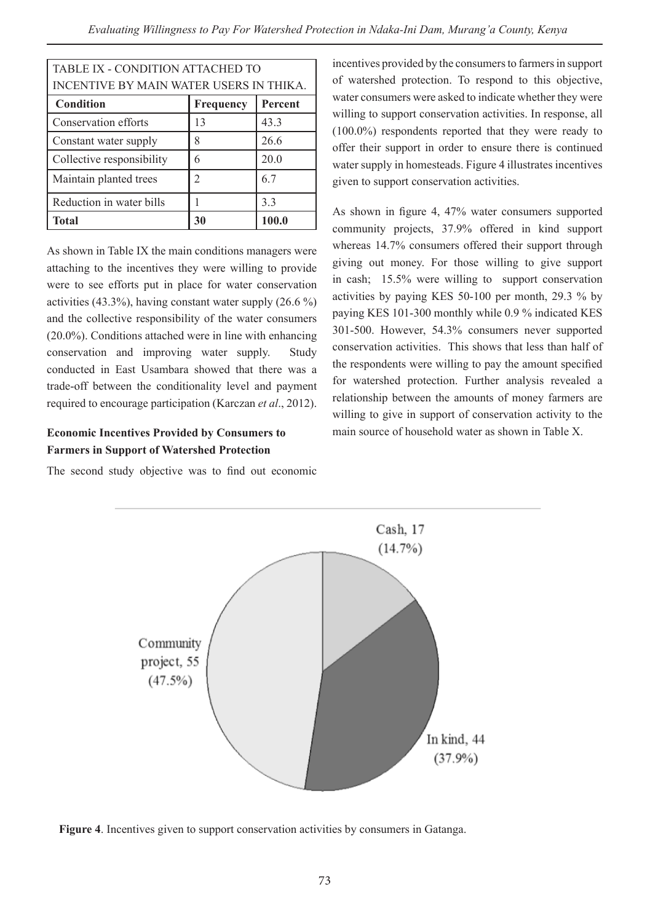| TABLE IX - CONDITION ATTACHED TO                |    |       |  |  |  |  |
|-------------------------------------------------|----|-------|--|--|--|--|
| INCENTIVE BY MAIN WATER USERS IN THIKA.         |    |       |  |  |  |  |
| Percent<br><b>Condition</b><br>Frequency        |    |       |  |  |  |  |
| Conservation efforts<br>43.3<br>13              |    |       |  |  |  |  |
| 26.6<br>Constant water supply<br>8              |    |       |  |  |  |  |
| Collective responsibility<br>20.0<br>6          |    |       |  |  |  |  |
| Maintain planted trees<br>6.7<br>$\mathfrak{D}$ |    |       |  |  |  |  |
| Reduction in water bills<br>3.3                 |    |       |  |  |  |  |
| <b>Total</b>                                    | 30 | 100.0 |  |  |  |  |

As shown in Table IX the main conditions managers were attaching to the incentives they were willing to provide were to see efforts put in place for water conservation activities  $(43.3\%)$ , having constant water supply  $(26.6\%)$ and the collective responsibility of the water consumers (20.0%). Conditions attached were in line with enhancing conservation and improving water supply. Study conducted in East Usambara showed that there was a trade-off between the conditionality level and payment required to encourage participation (Karczan *et al*., 2012).

# **Economic Incentives Provided by Consumers to Farmers in Support of Watershed Protection**

The second study objective was to find out economic

incentives provided by the consumers to farmers in support of watershed protection. To respond to this objective, water consumers were asked to indicate whether they were willing to support conservation activities. In response, all (100.0%) respondents reported that they were ready to offer their support in order to ensure there is continued water supply in homesteads. Figure 4 illustrates incentives given to support conservation activities.

As shown in figure 4, 47% water consumers supported community projects, 37.9% offered in kind support whereas 14.7% consumers offered their support through giving out money. For those willing to give support in cash; 15.5% were willing to support conservation activities by paying KES 50-100 per month, 29.3 % by paying KES 101-300 monthly while 0.9 % indicated KES 301-500. However, 54.3% consumers never supported conservation activities. This shows that less than half of the respondents were willing to pay the amount specified for watershed protection. Further analysis revealed a relationship between the amounts of money farmers are willing to give in support of conservation activity to the main source of household water as shown in Table X.



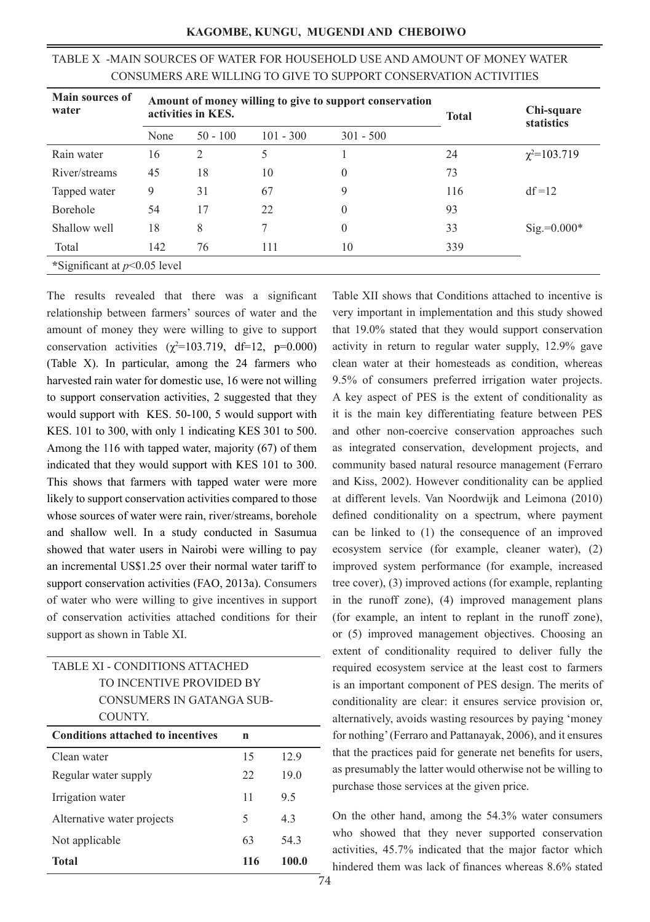| Main sources of<br>water       | Amount of money willing to give to support conservation<br>activities in KES. |                |             | <b>Total</b>   | Chi-square<br>statistics |                     |
|--------------------------------|-------------------------------------------------------------------------------|----------------|-------------|----------------|--------------------------|---------------------|
|                                | None                                                                          | $50 - 100$     | $101 - 300$ | $301 - 500$    |                          |                     |
| Rain water                     | 16                                                                            | $\overline{2}$ | 5           |                | 24                       | $\chi^2 = 103.719$  |
| River/streams                  | 45                                                                            | 18             | 10          | 0              | 73                       |                     |
| Tapped water                   | 9                                                                             | 31             | 67          | 9              | 116                      | $df = 12$           |
| <b>Borehole</b>                | 54                                                                            | 17             | 22          | 0              | 93                       |                     |
| Shallow well                   | 18                                                                            | 8              | 7           | $\overline{0}$ | 33                       | $\text{Sig}=0.000*$ |
| Total                          | 142                                                                           | 76             | 111         | 10             | 339                      |                     |
| *Significant at $p<0.05$ level |                                                                               |                |             |                |                          |                     |

# TABLE X -MAIN SOURCES OF WATER FOR HOUSEHOLD USE AND AMOUNT OF MONEY WATER CONSUMERS ARE WILLING TO GIVE TO SUPPORT CONSERVATION ACTIVITIES

The results revealed that there was a significant relationship between farmers' sources of water and the amount of money they were willing to give to support conservation activities  $(\chi^2=103.719, df=12, p=0.000)$ (Table X). In particular, among the 24 farmers who harvested rain water for domestic use, 16 were not willing to support conservation activities, 2 suggested that they would support with KES. 50-100, 5 would support with KES. 101 to 300, with only 1 indicating KES 301 to 500. Among the 116 with tapped water, majority (67) of them indicated that they would support with KES 101 to 300. This shows that farmers with tapped water were more likely to support conservation activities compared to those whose sources of water were rain, river/streams, borehole and shallow well. In a study conducted in Sasumua showed that water users in Nairobi were willing to pay an incremental US\$1.25 over their normal water tariff to support conservation activities (FAO, 2013a). Consumers of water who were willing to give incentives in support of conservation activities attached conditions for their support as shown in Table XI.

| TABLE XI - CONDITIONS ATTACHED                |     |       |  |  |
|-----------------------------------------------|-----|-------|--|--|
| TO INCENTIVE PROVIDED BY                      |     |       |  |  |
| CONSUMERS IN GATANGA SUB-                     |     |       |  |  |
| COUNTY.                                       |     |       |  |  |
| <b>Conditions attached to incentives</b><br>n |     |       |  |  |
| 15<br>12.9<br>Clean water                     |     |       |  |  |
| 19.0<br>22<br>Regular water supply            |     |       |  |  |
| 11<br>9.5<br>Irrigation water                 |     |       |  |  |
| Alternative water projects<br>5<br>43         |     |       |  |  |
| 63<br>54.3<br>Not applicable                  |     |       |  |  |
| Total                                         | 116 | 100.0 |  |  |

Table XII shows that Conditions attached to incentive is very important in implementation and this study showed that 19.0% stated that they would support conservation activity in return to regular water supply, 12.9% gave clean water at their homesteads as condition, whereas 9.5% of consumers preferred irrigation water projects. A key aspect of PES is the extent of conditionality as it is the main key differentiating feature between PES and other non-coercive conservation approaches such as integrated conservation, development projects, and community based natural resource management (Ferraro and Kiss, 2002). However conditionality can be applied at different levels. Van Noordwijk and Leimona (2010) defined conditionality on a spectrum, where payment can be linked to (1) the consequence of an improved ecosystem service (for example, cleaner water), (2) improved system performance (for example, increased tree cover), (3) improved actions (for example, replanting in the runoff zone), (4) improved management plans (for example, an intent to replant in the runoff zone), or (5) improved management objectives. Choosing an extent of conditionality required to deliver fully the required ecosystem service at the least cost to farmers is an important component of PES design. The merits of conditionality are clear: it ensures service provision or, alternatively, avoids wasting resources by paying 'money for nothing' (Ferraro and Pattanayak, 2006), and it ensures that the practices paid for generate net benefits for users, as presumably the latter would otherwise not be willing to purchase those services at the given price.

On the other hand, among the 54.3% water consumers who showed that they never supported conservation activities, 45.7% indicated that the major factor which hindered them was lack of finances whereas 8.6% stated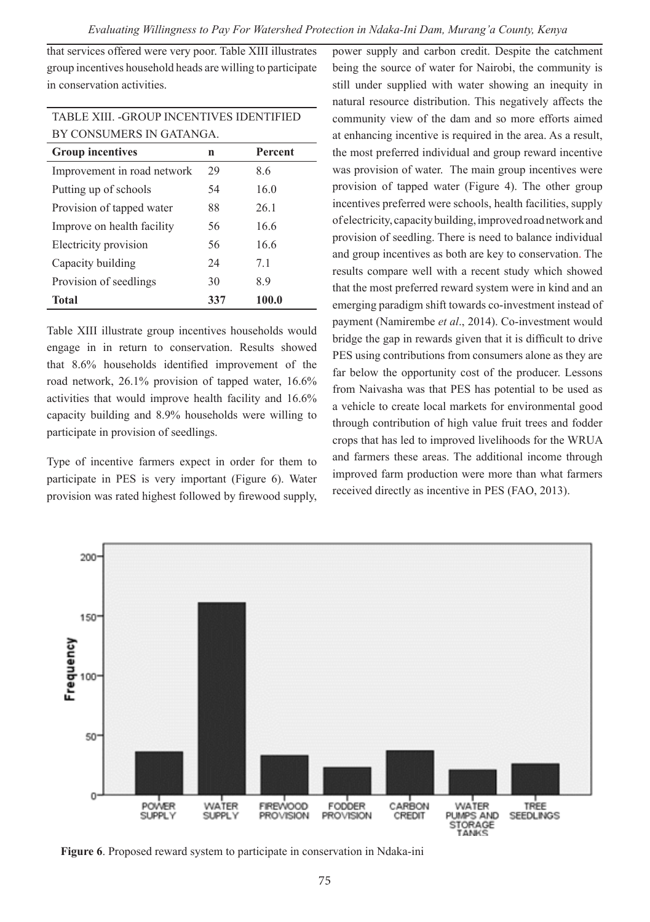that services offered were very poor. Table XIII illustrates group incentives household heads are willing to participate in conservation activities.

| <b>TABLE XIII. - GROUP INCENTIVES IDENTIFIED</b> |    |     |  |  |  |  |
|--------------------------------------------------|----|-----|--|--|--|--|
| BY CONSUMERS IN GATANGA.                         |    |     |  |  |  |  |
| <b>Group incentives</b><br><b>Percent</b><br>n   |    |     |  |  |  |  |
| Improvement in road network                      | 29 | 8.6 |  |  |  |  |
| 54<br>Putting up of schools<br>16.0              |    |     |  |  |  |  |
| Provision of tapped water<br>88<br>26.1          |    |     |  |  |  |  |
| Improve on health facility<br>56<br>16.6         |    |     |  |  |  |  |
| Electricity provision<br>16.6<br>56              |    |     |  |  |  |  |
| 24<br>Capacity building<br>71                    |    |     |  |  |  |  |
| Provision of seedlings<br>8.9<br>30              |    |     |  |  |  |  |
| 337<br>100.0<br>Total                            |    |     |  |  |  |  |

Table XIII illustrate group incentives households would engage in in return to conservation. Results showed that 8.6% households identified improvement of the road network, 26.1% provision of tapped water, 16.6% activities that would improve health facility and 16.6% capacity building and 8.9% households were willing to participate in provision of seedlings.

Type of incentive farmers expect in order for them to participate in PES is very important (Figure 6). Water provision was rated highest followed by firewood supply,

power supply and carbon credit. Despite the catchment being the source of water for Nairobi, the community is still under supplied with water showing an inequity in natural resource distribution. This negatively affects the community view of the dam and so more efforts aimed at enhancing incentive is required in the area. As a result, the most preferred individual and group reward incentive was provision of water. The main group incentives were provision of tapped water (Figure 4). The other group incentives preferred were schools, health facilities, supply of electricity, capacity building, improved road network and provision of seedling. There is need to balance individual and group incentives as both are key to conservation. The results compare well with a recent study which showed that the most preferred reward system were in kind and an emerging paradigm shift towards co-investment instead of payment (Namirembe *et al*., 2014). Co-investment would bridge the gap in rewards given that it is difficult to drive PES using contributions from consumers alone as they are far below the opportunity cost of the producer. Lessons from Naivasha was that PES has potential to be used as a vehicle to create local markets for environmental good through contribution of high value fruit trees and fodder crops that has led to improved livelihoods for the WRUA and farmers these areas. The additional income through improved farm production were more than what farmers received directly as incentive in PES (FAO, 2013).



**Figure 6**. Proposed reward system to participate in conservation in Ndaka-ini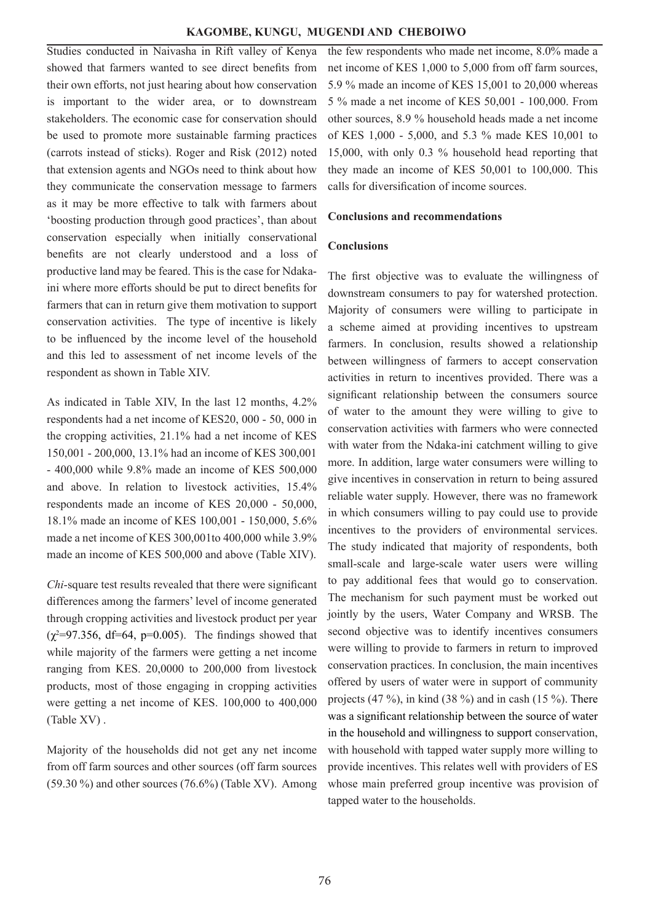#### **KAGOMBE, KUNGU, MUGENDI AND CHEBOIWO**

Studies conducted in Naivasha in Rift valley of Kenya showed that farmers wanted to see direct benefits from their own efforts, not just hearing about how conservation is important to the wider area, or to downstream stakeholders. The economic case for conservation should be used to promote more sustainable farming practices (carrots instead of sticks). Roger and Risk (2012) noted that extension agents and NGOs need to think about how they communicate the conservation message to farmers as it may be more effective to talk with farmers about 'boosting production through good practices', than about conservation especially when initially conservational benefits are not clearly understood and a loss of productive land may be feared. This is the case for Ndakaini where more efforts should be put to direct benefits for farmers that can in return give them motivation to support conservation activities. The type of incentive is likely to be influenced by the income level of the household and this led to assessment of net income levels of the respondent as shown in Table XIV.

As indicated in Table XIV, In the last 12 months, 4.2% respondents had a net income of KES20, 000 - 50, 000 in the cropping activities, 21.1% had a net income of KES 150,001 - 200,000, 13.1% had an income of KES 300,001 - 400,000 while 9.8% made an income of KES 500,000 and above. In relation to livestock activities, 15.4% respondents made an income of KES 20,000 - 50,000, 18.1% made an income of KES 100,001 - 150,000, 5.6% made a net income of KES 300,001to 400,000 while 3.9% made an income of KES 500,000 and above (Table XIV).

*Chi*-square test results revealed that there were significant differences among the farmers' level of income generated through cropping activities and livestock product per year  $(\chi^2=97.356, df=64, p=0.005)$ . The findings showed that while majority of the farmers were getting a net income ranging from KES. 20,0000 to 200,000 from livestock products, most of those engaging in cropping activities were getting a net income of KES. 100,000 to 400,000 (Table XV) .

Majority of the households did not get any net income from off farm sources and other sources (off farm sources  $(59.30\%)$  and other sources  $(76.6\%)$  (Table XV). Among the few respondents who made net income, 8.0% made a net income of KES 1,000 to 5,000 from off farm sources, 5.9 % made an income of KES 15,001 to 20,000 whereas 5 % made a net income of KES 50,001 - 100,000. From other sources, 8.9 % household heads made a net income of KES 1,000 - 5,000, and 5.3 % made KES 10,001 to 15,000, with only 0.3 % household head reporting that they made an income of KES 50,001 to 100,000. This calls for diversification of income sources.

### **Conclusions and recommendations**

#### **Conclusions**

The first objective was to evaluate the willingness of downstream consumers to pay for watershed protection. Majority of consumers were willing to participate in a scheme aimed at providing incentives to upstream farmers. In conclusion, results showed a relationship between willingness of farmers to accept conservation activities in return to incentives provided. There was a significant relationship between the consumers source of water to the amount they were willing to give to conservation activities with farmers who were connected with water from the Ndaka-ini catchment willing to give more. In addition, large water consumers were willing to give incentives in conservation in return to being assured reliable water supply. However, there was no framework in which consumers willing to pay could use to provide incentives to the providers of environmental services. The study indicated that majority of respondents, both small-scale and large-scale water users were willing to pay additional fees that would go to conservation. The mechanism for such payment must be worked out jointly by the users, Water Company and WRSB. The second objective was to identify incentives consumers were willing to provide to farmers in return to improved conservation practices. In conclusion, the main incentives offered by users of water were in support of community projects (47 %), in kind (38 %) and in cash (15 %). There was a significant relationship between the source of water in the household and willingness to support conservation, with household with tapped water supply more willing to provide incentives. This relates well with providers of ES whose main preferred group incentive was provision of tapped water to the households.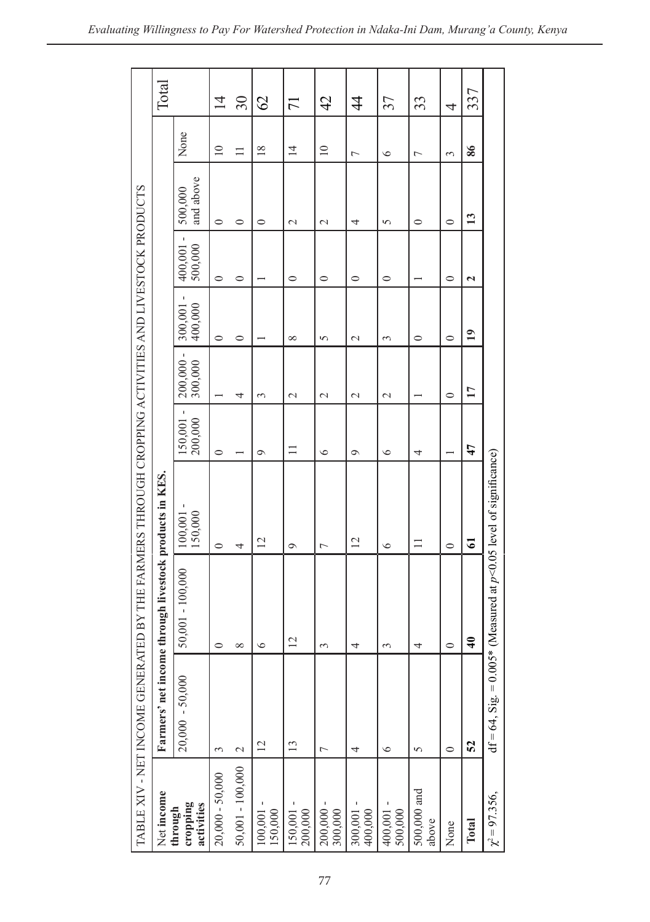|                                   | TABLE XIV - NET INCOME GENERAT                                           | ED BY THE FARMERS THROUGH CROPPING ACTIVITIES AND LIVESTOCK PRODUCTS |                    |                         |                      |                    |                         |                      |                |                |
|-----------------------------------|--------------------------------------------------------------------------|----------------------------------------------------------------------|--------------------|-------------------------|----------------------|--------------------|-------------------------|----------------------|----------------|----------------|
| Net income                        |                                                                          | Farmers' net income through livestock products in KES.               |                    |                         |                      |                    |                         |                      |                | Total          |
| cropping<br>activities<br>through | $20,000 - 50,000$                                                        | $50,001 - 100,000$                                                   | 150,000<br>100,001 | I<br>200,000<br>150,001 | 200,000 -<br>300,000 | 400,000<br>300,001 | 400,001 -<br>500,000    | and above<br>500,000 | None           |                |
| $20,000 - 50,000$                 | 3                                                                        | 0                                                                    | $\circ$            | $\circ$                 |                      | $\circ$            | $\circ$                 | $\circ$              | $\supseteq$    | $\overline{4}$ |
| 50,001 - 100,000                  | $\mathbf 2$                                                              | $\infty$                                                             | 4                  |                         | 4                    | 0                  | 0                       | 0                    | $\equiv$       | $30\,$         |
| $\frac{100,001}{150,000}$         | $\overline{c}$                                                           | $\circ$                                                              | $\overline{c}$     | $\circ$                 | 3                    |                    |                         | $\circ$              | $\frac{8}{2}$  | $\mathcal{O}$  |
| $150,001 - 200,000$               | $\frac{13}{2}$                                                           | $\overline{c}$                                                       | $\circ$            | $\equiv$                | $\mathcal{L}$        | $\infty$           | 0                       | $\mathcal{L}$        | $\overline{4}$ | $\overline{7}$ |
| $200,000 - 300,000$               | Γ                                                                        | 3                                                                    | $\overline{ }$     | $\circ$                 | $\mathcal{L}$        | 5                  | 0                       | $\sim$               | $\overline{a}$ | 42             |
| $300,001 -$<br>400,000            | 4                                                                        | 4                                                                    | $\overline{c}$     | $\circ$                 | $\mathcal{L}$        | $\mathcal{L}$      | $\circ$                 | 4                    | $\overline{ }$ | $\overline{4}$ |
| $400,001 - 500,000$               | ৩                                                                        | 3                                                                    | $\circ$            | $\circ$                 | $\mathcal{L}$        | 3                  | $\circ$                 | 5                    | $\circ$        | 37             |
| 500,000 and<br>above              | 5                                                                        | 4                                                                    | $\equiv$           | 4                       |                      | $\circ$            |                         | $\circ$              | ٣              | 33             |
| None                              | $\circ$                                                                  | $\circ$                                                              | $\circ$            |                         | $\circ$              | $\circ$            | 0                       | $\circ$              | 3              | 4              |
| Total                             | 52                                                                       | $\frac{1}{4}$                                                        | $\mathbf{r}$       | 47                      | 17                   | $\overline{19}$    | $\overline{\mathbf{c}}$ | $\mathbf{13}$        | 86             | 337            |
| $\chi^2 = 97.356,$                | $df = 64$ , Sig. = 0.005* (Measured at $p < 0.05$ level of significance) |                                                                      |                    |                         |                      |                    |                         |                      |                |                |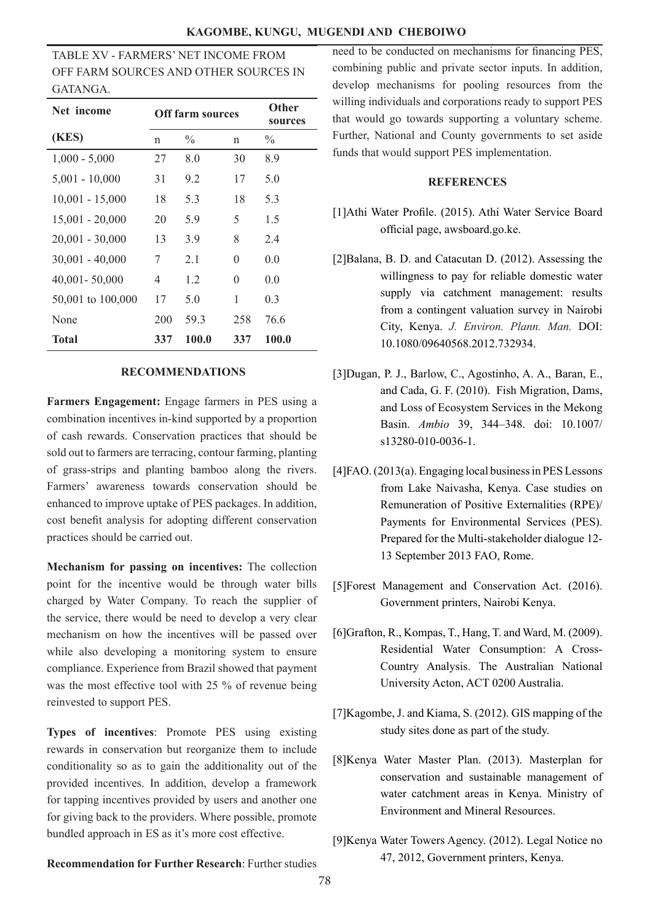TABLE XV - FARMERS' NET INCOME FROM OFF FARM SOURCES AND OTHER SOURCES IN GATANGA.

| Net income        |     | <b>Off farm sources</b> | Other<br>sources |               |
|-------------------|-----|-------------------------|------------------|---------------|
| (KES)             | n   | $\frac{0}{0}$           | n                | $\frac{0}{0}$ |
| $1,000 - 5,000$   | 27  | 8.0                     | 30               | 8.9           |
| $5,001 - 10,000$  | 31  | 9.2                     | 17               | 5.0           |
| $10,001 - 15,000$ | 18  | 5.3                     | 18               | 5.3           |
| $15,001 - 20,000$ | 20  | 5.9                     | 5                | 1.5           |
| $20,001 - 30,000$ | 13  | 3.9                     | 8                | 2.4           |
| $30,001 - 40,000$ | 7   | 2.1                     | $\Omega$         | 0.0           |
| $40,001 - 50,000$ | 4   | 1.2                     | $\Omega$         | 0.0           |
| 50,001 to 100,000 | 17  | 5.0                     | 1                | 0.3           |
| None              | 200 | 59.3                    | 258              | 76.6          |
| <b>Total</b>      | 337 | 100.0                   | 337              | 100.0         |

### **RECOMMENDATIONS**

**Farmers Engagement:** Engage farmers in PES using a combination incentives in-kind supported by a proportion of cash rewards. Conservation practices that should be sold out to farmers are terracing, contour farming, planting of grass-strips and planting bamboo along the rivers. Farmers' awareness towards conservation should be enhanced to improve uptake of PES packages. In addition, cost benefit analysis for adopting different conservation practices should be carried out.

**Mechanism for passing on incentives:** The collection point for the incentive would be through water bills charged by Water Company. To reach the supplier of the service, there would be need to develop a very clear mechanism on how the incentives will be passed over while also developing a monitoring system to ensure compliance. Experience from Brazil showed that payment was the most effective tool with 25 % of revenue being reinvested to support PES.

**Types of incentives**: Promote PES using existing rewards in conservation but reorganize them to include conditionality so as to gain the additionality out of the provided incentives. In addition, develop a framework for tapping incentives provided by users and another one for giving back to the providers. Where possible, promote bundled approach in ES as it's more cost effective.

need to be conducted on mechanisms for financing PES, combining public and private sector inputs. In addition, develop mechanisms for pooling resources from the willing individuals and corporations ready to support PES that would go towards supporting a voluntary scheme. Further, National and County governments to set aside funds that would support PES implementation.

### **REFERENCES**

- [1]Athi Water Profile. (2015). Athi Water Service Board official page, awsboard.go.ke.
- [2]Balana, B. D. and Catacutan D. (2012). Assessing the willingness to pay for reliable domestic water supply via catchment management: results from a contingent valuation survey in Nairobi City, Kenya. *J. Environ. Plann. Man.* DOI: 10.1080/09640568.2012.732934.
- [3]Dugan, P. J., Barlow, C., Agostinho, A. A., Baran, E., and Cada, G. F. (2010). Fish Migration, Dams, and Loss of Ecosystem Services in the Mekong Basin. *Ambio* 39, 344–348. doi: 10.1007/ s13280-010-0036-1.
- [4]FAO. (2013(a). Engaging local business in PES Lessons from Lake Naivasha, Kenya. Case studies on Remuneration of Positive Externalities (RPE)/ Payments for Environmental Services (PES). Prepared for the Multi-stakeholder dialogue 12- 13 September 2013 FAO, Rome.
- [5]Forest Management and Conservation Act. (2016). Government printers, Nairobi Kenya.
- [6]Grafton, R., Kompas, T., Hang, T. and Ward, M. (2009). Residential Water Consumption: A Cross-Country Analysis. The Australian National University Acton, ACT 0200 Australia.
- [7]Kagombe, J. and Kiama, S. (2012). GIS mapping of the study sites done as part of the study.
- [8]Kenya Water Master Plan. (2013). Masterplan for conservation and sustainable management of water catchment areas in Kenya. Ministry of Environment and Mineral Resources.
- [9]Kenya Water Towers Agency. (2012). Legal Notice no 47, 2012, Government printers, Kenya.

**Recommendation for Further Research**: Further studies